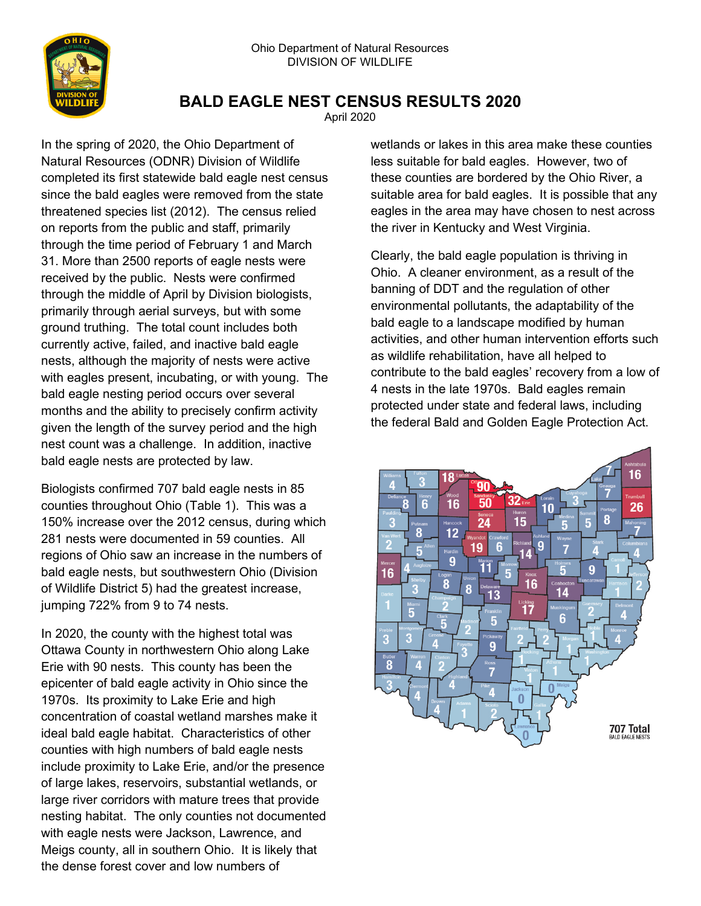

## **BALD EAGLE NEST CENSUS RESULTS 2020**

April 2020

In the spring of 2020, the Ohio Department of Natural Resources (ODNR) Division of Wildlife completed its first statewide bald eagle nest census since the bald eagles were removed from the state threatened species list (2012). The census relied on reports from the public and staff, primarily through the time period of February 1 and March 31. More than 2500 reports of eagle nests were received by the public. Nests were confirmed through the middle of April by Division biologists, primarily through aerial surveys, but with some ground truthing. The total count includes both currently active, failed, and inactive bald eagle nests, although the majority of nests were active with eagles present, incubating, or with young. The bald eagle nesting period occurs over several months and the ability to precisely confirm activity given the length of the survey period and the high nest count was a challenge. In addition, inactive bald eagle nests are protected by law.

Biologists confirmed 707 bald eagle nests in 85 counties throughout Ohio (Table 1). This was a 150% increase over the 2012 census, during which 281 nests were documented in 59 counties. All regions of Ohio saw an increase in the numbers of bald eagle nests, but southwestern Ohio (Division of Wildlife District 5) had the greatest increase, jumping 722% from 9 to 74 nests.

In 2020, the county with the highest total was Ottawa County in northwestern Ohio along Lake Erie with 90 nests. This county has been the epicenter of bald eagle activity in Ohio since the 1970s. Its proximity to Lake Erie and high concentration of coastal wetland marshes make it ideal bald eagle habitat. Characteristics of other counties with high numbers of bald eagle nests include proximity to Lake Erie, and/or the presence of large lakes, reservoirs, substantial wetlands, or large river corridors with mature trees that provide nesting habitat. The only counties not documented with eagle nests were Jackson, Lawrence, and Meigs county, all in southern Ohio. It is likely that the dense forest cover and low numbers of

wetlands or lakes in this area make these counties less suitable for bald eagles. However, two of these counties are bordered by the Ohio River, a suitable area for bald eagles. It is possible that any eagles in the area may have chosen to nest across the river in Kentucky and West Virginia.

Clearly, the bald eagle population is thriving in Ohio. A cleaner environment, as a result of the banning of DDT and the regulation of other environmental pollutants, the adaptability of the bald eagle to a landscape modified by human activities, and other human intervention efforts such as wildlife rehabilitation, have all helped to contribute to the bald eagles' recovery from a low of 4 nests in the late 1970s. Bald eagles remain protected under state and federal laws, including the federal Bald and Golden Eagle Protection Act.

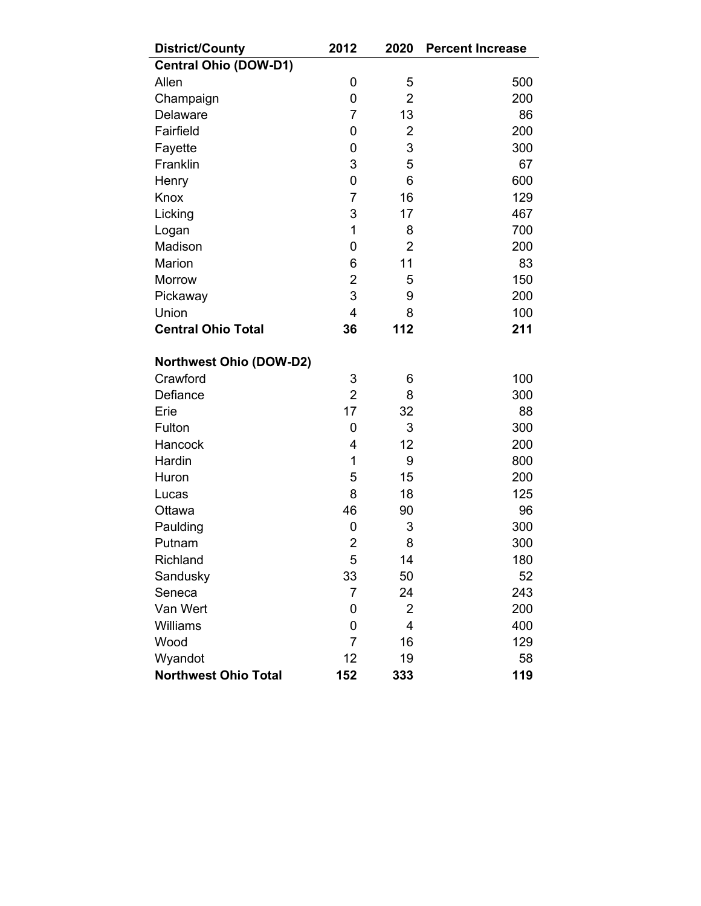| <b>District/County</b>         | 2012           | 2020           | <b>Percent Increase</b> |
|--------------------------------|----------------|----------------|-------------------------|
| <b>Central Ohio (DOW-D1)</b>   |                |                |                         |
| Allen                          | 0              | 5              | 500                     |
| Champaign                      | 0              | $\overline{2}$ | 200                     |
| <b>Delaware</b>                | $\overline{7}$ | 13             | 86                      |
| Fairfield                      | 0              | $\overline{2}$ | 200                     |
| Fayette                        | 0              | 3              | 300                     |
| Franklin                       | 3              | 5              | 67                      |
| Henry                          | 0              | 6              | 600                     |
| Knox                           | $\overline{7}$ | 16             | 129                     |
| Licking                        | 3              | 17             | 467                     |
| Logan                          | 1              | 8              | 700                     |
| Madison                        | 0              | $\overline{2}$ | 200                     |
| Marion                         | 6              | 11             | 83                      |
| Morrow                         | $\overline{2}$ | 5              | 150                     |
| Pickaway                       | 3              | 9              | 200                     |
| Union                          | $\overline{4}$ | 8              | 100                     |
| <b>Central Ohio Total</b>      | 36             | 112            | 211                     |
| <b>Northwest Ohio (DOW-D2)</b> |                |                |                         |
| Crawford                       | 3              | 6              | 100                     |
| Defiance                       | $\overline{2}$ | 8              | 300                     |
| Erie                           | 17             | 32             | 88                      |
| Fulton                         | 0              | 3              | 300                     |
| Hancock                        | 4              | 12             | 200                     |
| Hardin                         | 1              | 9              | 800                     |
| Huron                          | 5              | 15             | 200                     |
| Lucas                          | 8              | 18             | 125                     |
| Ottawa                         | 46             | 90             | 96                      |
| Paulding                       | 0              | 3              | 300                     |
| Putnam                         | $\overline{2}$ | 8              | 300                     |
| Richland                       | 5              | 14             | 180                     |
| Sandusky                       | 33             | 50             | 52                      |
| Seneca                         | 7              | 24             | 243                     |
| Van Wert                       | 0              | $\overline{2}$ | 200                     |
| <b>Williams</b>                | 0              | 4              | 400                     |
| Wood                           | $\overline{7}$ | 16             | 129                     |
| Wyandot                        | 12             | 19             | 58                      |
| <b>Northwest Ohio Total</b>    | 152            | 333            | 119                     |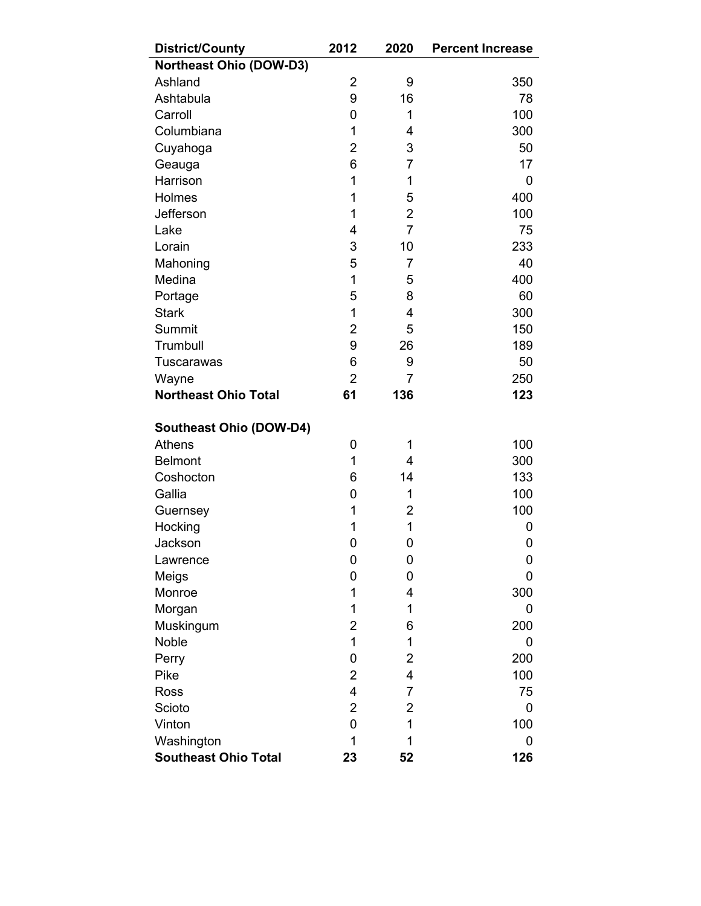| <b>District/County</b>         | 2012           | 2020           | <b>Percent Increase</b> |
|--------------------------------|----------------|----------------|-------------------------|
| <b>Northeast Ohio (DOW-D3)</b> |                |                |                         |
| Ashland                        | 2              | 9              | 350                     |
| Ashtabula                      | 9              | 16             | 78                      |
| Carroll                        | 0              | 1              | 100                     |
| Columbiana                     | 1              | 4              | 300                     |
| Cuyahoga                       | $\overline{2}$ | 3              | 50                      |
| Geauga                         | 6              | $\overline{7}$ | 17                      |
| Harrison                       | 1              | 1              | 0                       |
| Holmes                         | 1              | 5              | 400                     |
| Jefferson                      | 1              | $\overline{2}$ | 100                     |
| Lake                           | 4              | $\overline{7}$ | 75                      |
| Lorain                         | 3              | 10             | 233                     |
| Mahoning                       | 5              | $\overline{7}$ | 40                      |
| Medina                         | $\mathbf 1$    | 5              | 400                     |
| Portage                        | 5              | 8              | 60                      |
| <b>Stark</b>                   | 1              | 4              | 300                     |
| Summit                         | 2              | 5              | 150                     |
| Trumbull                       | 9              | 26             | 189                     |
| <b>Tuscarawas</b>              | 6              | 9              | 50                      |
| Wayne                          | $\overline{2}$ | 7              | 250                     |
| <b>Northeast Ohio Total</b>    | 61             | 136            | 123                     |
| <b>Southeast Ohio (DOW-D4)</b> |                |                |                         |
| <b>Athens</b>                  | 0              | 1              | 100                     |
| <b>Belmont</b>                 | 1              | 4              | 300                     |
| Coshocton                      | 6              | 14             | 133                     |
| Gallia                         | 0              | 1              | 100                     |
| Guernsey                       | 1              | $\overline{2}$ | 100                     |
| Hocking                        | 1              | 1              | 0                       |
| Jackson                        | 0              | 0              | 0                       |
| Lawrence                       | 0              | 0              | 0                       |
| Meigs                          | 0              | 0              | 0                       |
| Monroe                         | 1              | 4              | 300                     |
| Morgan                         | 1              | 1              | 0                       |
| Muskingum                      | 2              | 6              | 200                     |
| Noble                          | 1              | 1              | 0                       |
| Perry                          | 0              | $\overline{2}$ | 200                     |
| Pike                           | $\overline{2}$ | 4              | 100                     |
| <b>Ross</b>                    | 4              | $\overline{7}$ | 75                      |
| Scioto                         | $\overline{2}$ | 2              | 0                       |
| Vinton                         | 0              | 1              | 100                     |
|                                |                |                |                         |
| Washington                     | 1              | 1              | 0                       |